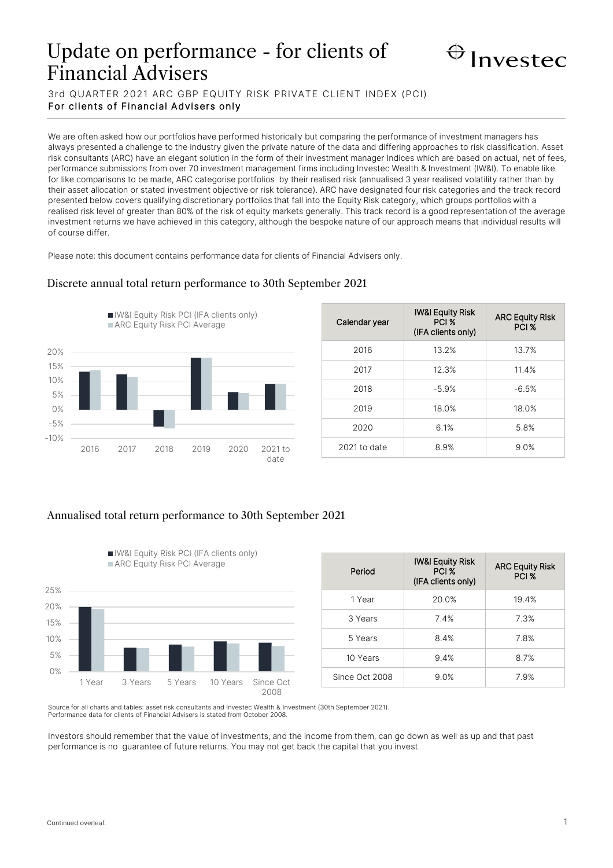# Update on performance - for clients of Financial Advisers



3rd QUARTER 2021 ARC GBP EQUITY RISK PRIVATE CLIENT INDEX (PCI) For clients of Financial Advisers only

We are often asked how our portfolios have performed historically but comparing the performance of investment managers has always presented a challenge to the industry given the private nature of the data and differing approaches to risk classification. Asset risk consultants (ARC) have an elegant solution in the form of their investment manager Indices which are based on actual, net of fees, performance submissions from over 70 investment management firms including Investec Wealth & Investment (IW&I). To enable like for like comparisons to be made, ARC categorise portfolios by their realised risk (annualised 3 year realised volatility rather than by their asset allocation or stated investment objective or risk tolerance). ARC have designated four risk categories and the track record presented below covers qualifying discretionary portfolios that fall into the Equity Risk category, which groups portfolios with a realised risk level of greater than 80% of the risk of equity markets generally. This track record is a good representation of the average investment returns we have achieved in this category, although the bespoke nature of our approach means that individual results will of course differ.

Please note: this document contains performance data for clients of Financial Advisers only.

Discrete annual total return performance to 30th September 2021

## -10% -5% 0% 5% 10% 15% 20% 2016 2017 2018 2019 2020 2021 to date IW&I Equity Risk PCI (IFA clients only) ARC Equity Risk PCI Average

| Calendar year | <b>IW&amp;I Equity Risk</b><br>PCI %<br>(IFA clients only) | <b>ARC Equity Risk</b><br>PCI % |
|---------------|------------------------------------------------------------|---------------------------------|
| 2016          | 13.2%                                                      | 13.7%                           |
| 2017          | 12.3%                                                      | 11.4%                           |
| 2018          | $-5.9%$                                                    | $-6.5%$                         |
| 2019          | 18.0%                                                      | 18.0%                           |
| 2020          | 6.1%                                                       | 5.8%                            |
| 2021 to date  | 8.9%                                                       | 9.0%                            |

## Annualised total return performance to 30th September 2021



| Period         | <b>IW&amp;I Equity Risk</b><br>PCI %<br>(IFA clients only) | <b>ARC Equity Risk</b><br>PCI % |
|----------------|------------------------------------------------------------|---------------------------------|
| 1 Year         | 20.0%                                                      | 19.4%                           |
| 3 Years        | 7.4%                                                       | 7.3%                            |
| 5 Years        | 8.4%                                                       | 7.8%                            |
| 10 Years       | 9.4%                                                       | 8.7%                            |
| Since Oct 2008 | 9.0%                                                       | 7.9%                            |

Source for all charts and tables: asset risk consultants and Investec Wealth & Investment (30th September 2021). Performance data for clients of Financial Advisers is stated from October 2008.

Investors should remember that the value of investments, and the income from them, can go down as well as up and that past performance is no guarantee of future returns. You may not get back the capital that you invest.